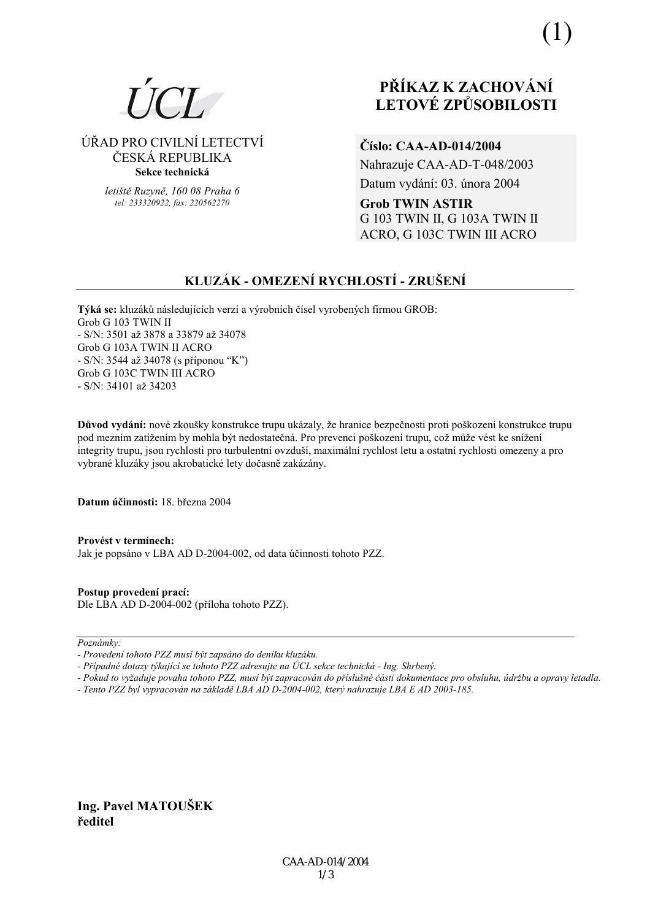

### ÚŘAD PRO CIVILNÍ LETECTVÍ ČESKÁ REPUBLIKA Sekce technická

letiště Ruzyně, 160 08 Praha 6 tel: 233320922. fax: 220562270

# PŘÍKAZ K ZACHOVÁNÍ **LETOVÉ ZPŮSOBILOSTI**

Číslo: CAA-AD-014/2004

Nahrazuje CAA-AD-T-048/2003 Datum vydání: 03. února 2004

**Grob TWIN ASTIR** G 103 TWIN II, G 103A TWIN II ACRO. G 103C TWIN III ACRO

# KLUZÁK - OMEZENÍ RYCHLOSTÍ - ZRUŠENÍ

Týká se: kluzáků následujících verzí a výrobních čísel vyrobených firmou GROB: Grob G 103 TWIN II - S/N: 3501 až 3878 a 33879 až 34078 Grob G 103A TWIN II ACRO - S/N: 3544 až 34078 (s příponou "K") Grob G 103C TWIN III ACRO - S/N: 34101 až 34203

Důvod vydání: nové zkoušky konstrukce trupu ukázaly, že hranice bezpečnosti proti poškození konstrukce trupu pod mezním zatížením by mohla být nedostatečná. Pro prevenci poškození trupu, což může vést ke snížení integrity trupu, jsou rychlosti pro turbulentní ovzduší, maximální rychlost letu a ostatní rychlosti omezeny a pro vybrané kluzáky jsou akrobatické lety dočasně zakázány.

Datum účinnosti: 18 března 2004

Provést v termínech: Jak je popsáno v LBA AD D-2004-002, od data účinnosti tohoto PZZ.

Postup provedení prací: Dle LBA AD D-2004-002 (příloha tohoto PZZ).

Poznámky:

- Případné dotazy týkající se tohoto PZZ adresujte na ÚCL sekce technická Ing. Shrbený.
- Pokud to vyžaduje povaha tohoto PZZ, musí být zapracován do příslušné části dokumentace pro obsluhu, údržbu a opravy letadla.
- Tento PZZ byl vypracován na základě LBA AD D-2004-002, který nahrazuje LBA E AD 2003-185.

Ing. Pavel MATOUŠEK ředitel

<sup>-</sup> Provedení tohoto PZZ musí být zapsáno do deníku kluzáku.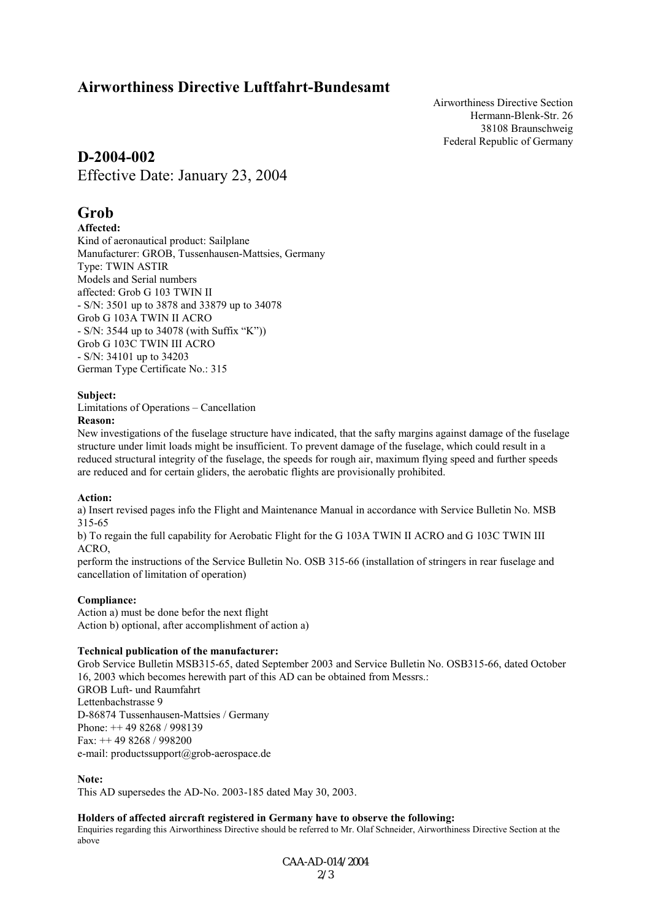## **Airworthiness Directive Luftfahrt-Bundesamt**

Airworthiness Directive Section Hermann-Blenk-Str. 26 38108 Braunschweig Federal Republic of Germany

### **D-2004-002**

Effective Date: January 23, 2004

## **Grob**

### **Affected:**

Kind of aeronautical product: Sailplane Manufacturer: GROB, Tussenhausen-Mattsies, Germany Type: TWIN ASTIR Models and Serial numbers affected: Grob G 103 TWIN II - S/N: 3501 up to 3878 and 33879 up to 34078 Grob G 103A TWIN II ACRO  $-S/N: 3544$  up to 34078 (with Suffix "K")) Grob G 103C TWIN III ACRO - S/N: 34101 up to 34203 German Type Certificate No.: 315

#### **Subject:**

Limitations of Operations – Cancellation

#### **Reason:**

New investigations of the fuselage structure have indicated, that the safty margins against damage of the fuselage structure under limit loads might be insufficient. To prevent damage of the fuselage, which could result in a reduced structural integrity of the fuselage, the speeds for rough air, maximum flying speed and further speeds are reduced and for certain gliders, the aerobatic flights are provisionally prohibited.

#### **Action:**

a) Insert revised pages info the Flight and Maintenance Manual in accordance with Service Bulletin No. MSB 315-65

b) To regain the full capability for Aerobatic Flight for the G 103A TWIN II ACRO and G 103C TWIN III ACRO,

perform the instructions of the Service Bulletin No. OSB 315-66 (installation of stringers in rear fuselage and cancellation of limitation of operation)

### **Compliance:**

Action a) must be done befor the next flight Action b) optional, after accomplishment of action a)

#### **Technical publication of the manufacturer:**

Grob Service Bulletin MSB315-65, dated September 2003 and Service Bulletin No. OSB315-66, dated October 16, 2003 which becomes herewith part of this AD can be obtained from Messrs.: GROB Luft- und Raumfahrt Lettenbachstrasse 9 D-86874 Tussenhausen-Mattsies / Germany Phone: ++ 49 8268 / 998139 Fax: ++ 49 8268 / 998200 e-mail: productssupport@grob-aerospace.de

#### **Note:**

This AD supersedes the AD-No. 2003-185 dated May 30, 2003.

#### **Holders of affected aircraft registered in Germany have to observe the following:**

Enquiries regarding this Airworthiness Directive should be referred to Mr. Olaf Schneider, Airworthiness Directive Section at the above